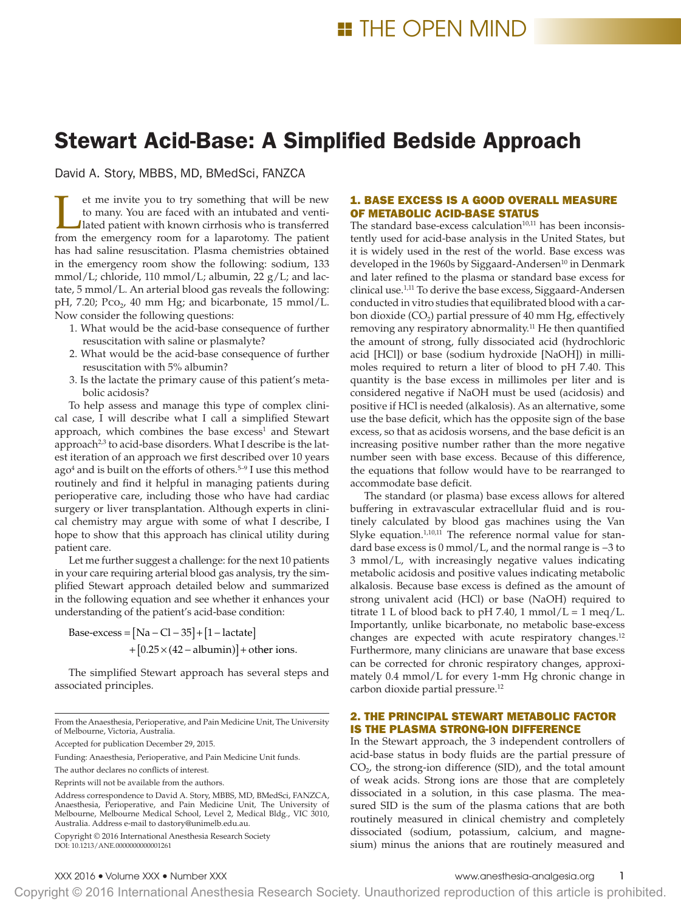# Stewart Acid-Base: A Simplified Bedside Approach

David A. Story, MBBS, MD, BMedSci, FANZCA

If the invite you to try something that will be new to many. You are faced with an intubated and venti-<br>lated patient with known cirrhosis who is transferred from the emergency room for a lanarotomy. The patient to many. You are faced with an intubated and ventifrom the emergency room for a laparotomy. The patient has had saline resuscitation. Plasma chemistries obtained in the emergency room show the following: sodium, 133 mmol/L; chloride, 110 mmol/L; albumin, 22 g/L; and lactate, 5 mmol/L. An arterial blood gas reveals the following: pH, 7.20; Pco<sub>2</sub>, 40 mm Hg; and bicarbonate, 15 mmol/L. Now consider the following questions:

- 1. What would be the acid-base consequence of further resuscitation with saline or plasmalyte?
- 2. What would be the acid-base consequence of further resuscitation with 5% albumin?
- 3. Is the lactate the primary cause of this patient's metabolic acidosis?

To help assess and manage this type of complex clinical case, I will describe what I call a simplified Stewart approach, which combines the base  $excess<sup>1</sup>$  and Stewart approach<sup>2,3</sup> to acid-base disorders. What I describe is the latest iteration of an approach we first described over 10 years ago<sup>4</sup> and is built on the efforts of others.<sup>5-9</sup> I use this method routinely and find it helpful in managing patients during perioperative care, including those who have had cardiac surgery or liver transplantation. Although experts in clinical chemistry may argue with some of what I describe, I hope to show that this approach has clinical utility during patient care.

Let me further suggest a challenge: for the next 10 patients in your care requiring arterial blood gas analysis, try the simplified Stewart approach detailed below and summarized in the following equation and see whether it enhances your understanding of the patient's acid-base condition:

Base-excess =  $[Na - Cl - 35] + [1 - lactate]$  $+ [0.25 \times (42 - \text{albumin})] + \text{other ions}.$ 

The simplified Stewart approach has several steps and associated principles.

From the Anaesthesia, Perioperative, and Pain Medicine Unit, The University of Melbourne, Victoria, Australia.

Accepted for publication December 29, 2015.

Funding: Anaesthesia, Perioperative, and Pain Medicine Unit funds.

Copyright © 2016 International Anesthesia Research Society DOI: 10.1213/ANE.0000000000001261

## 1. BASE EXCESS IS A GOOD OVERALL MEASURE OF METABOLIC ACID-BASE STATUS

The standard base-excess calculation $10,11$  has been inconsistently used for acid-base analysis in the United States, but it is widely used in the rest of the world. Base excess was developed in the 1960s by Siggaard-Andersen<sup>10</sup> in Denmark and later refined to the plasma or standard base excess for clinical use.1,11 To derive the base excess, Siggaard-Andersen conducted in vitro studies that equilibrated blood with a carbon dioxide  $(CO<sub>2</sub>)$  partial pressure of 40 mm Hg, effectively removing any respiratory abnormality.11 He then quantified the amount of strong, fully dissociated acid (hydrochloric acid [HCl]) or base (sodium hydroxide [NaOH]) in millimoles required to return a liter of blood to pH 7.40. This quantity is the base excess in millimoles per liter and is considered negative if NaOH must be used (acidosis) and positive if HCl is needed (alkalosis). As an alternative, some use the base deficit, which has the opposite sign of the base excess, so that as acidosis worsens, and the base deficit is an increasing positive number rather than the more negative number seen with base excess. Because of this difference, the equations that follow would have to be rearranged to accommodate base deficit.

The standard (or plasma) base excess allows for altered buffering in extravascular extracellular fluid and is routinely calculated by blood gas machines using the Van Slyke equation.<sup>1,10,11</sup> The reference normal value for standard base excess is 0 mmol/L, and the normal range is −3 to 3 mmol/L, with increasingly negative values indicating metabolic acidosis and positive values indicating metabolic alkalosis. Because base excess is defined as the amount of strong univalent acid (HCl) or base (NaOH) required to titrate 1 L of blood back to pH 7.40, 1 mmol/L = 1 meq/L. Importantly, unlike bicarbonate, no metabolic base-excess changes are expected with acute respiratory changes.12 Furthermore, many clinicians are unaware that base excess can be corrected for chronic respiratory changes, approximately 0.4 mmol/L for every 1-mm Hg chronic change in carbon dioxide partial pressure.12

# 2. THE PRINCIPAL STEWART METABOLIC FACTOR IS THE PLASMA STRONG-ION DIFFERENCE

In the Stewart approach, the 3 independent controllers of acid-base status in body fluids are the partial pressure of  $CO<sub>2</sub>$ , the strong-ion difference (SID), and the total amount of weak acids. Strong ions are those that are completely dissociated in a solution, in this case plasma. The measured SID is the sum of the plasma cations that are both routinely measured in clinical chemistry and completely dissociated (sodium, potassium, calcium, and magnesium) minus the anions that are routinely measured and

XXX 2016 • Volume XXX • Number XXX www.anesthesia-analgesia.org 1

Copyright © 2016 International Anesthesia Research Society. Unauthorized reproduction of this article is prohibited.

The author declares no conflicts of interest.

Reprints will not be available from the authors.

Address correspondence to David A. Story, MBBS, MD, BMedSci, FANZCA, Anaesthesia, Perioperative, and Pain Medicine Unit, The University of Melbourne, Melbourne Medical School, Level 2, Medical Bldg., VIC 3010, Australia. Address e-mail to [dastory@unimelb.edu.au](mailto:dastory@unimelb.edu.au).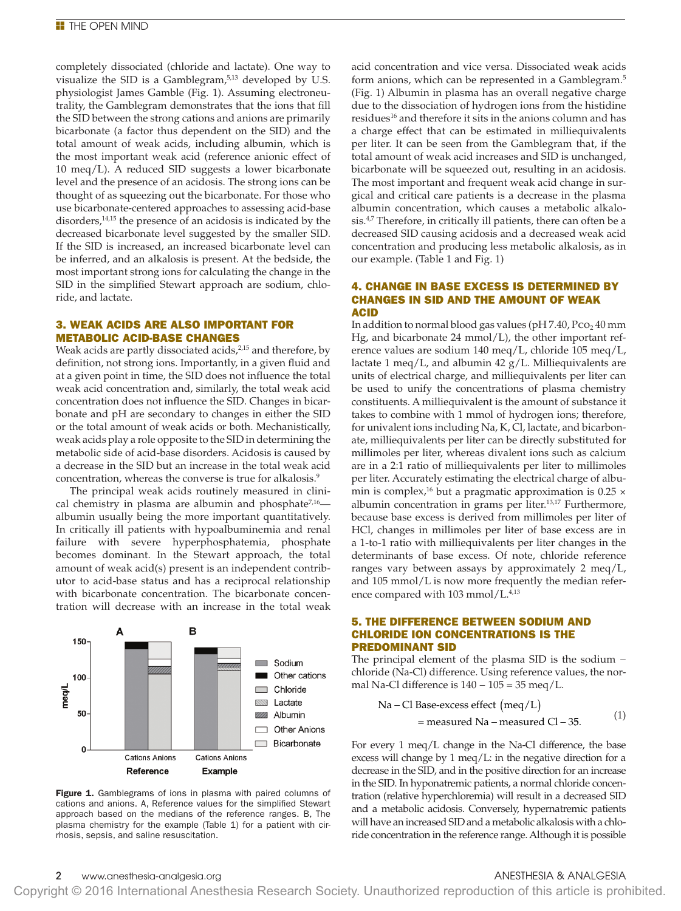completely dissociated (chloride and lactate). One way to visualize the SID is a Gamblegram,<sup>5,13</sup> developed by U.S. physiologist James Gamble (Fig. 1). Assuming electroneutrality, the Gamblegram demonstrates that the ions that fill the SID between the strong cations and anions are primarily bicarbonate (a factor thus dependent on the SID) and the total amount of weak acids, including albumin, which is the most important weak acid (reference anionic effect of 10 meq/L). A reduced SID suggests a lower bicarbonate level and the presence of an acidosis. The strong ions can be thought of as squeezing out the bicarbonate. For those who use bicarbonate-centered approaches to assessing acid-base disorders,<sup>14,15</sup> the presence of an acidosis is indicated by the decreased bicarbonate level suggested by the smaller SID. If the SID is increased, an increased bicarbonate level can be inferred, and an alkalosis is present. At the bedside, the most important strong ions for calculating the change in the SID in the simplified Stewart approach are sodium, chloride, and lactate.

### 3. WEAK ACIDS ARE ALSO IMPORTANT FOR METABOLIC ACID-BASE CHANGES

Weak acids are partly dissociated acids,<sup>2,15</sup> and therefore, by definition, not strong ions. Importantly, in a given fluid and at a given point in time, the SID does not influence the total weak acid concentration and, similarly, the total weak acid concentration does not influence the SID. Changes in bicarbonate and pH are secondary to changes in either the SID or the total amount of weak acids or both. Mechanistically, weak acids play a role opposite to the SID in determining the metabolic side of acid-base disorders. Acidosis is caused by a decrease in the SID but an increase in the total weak acid concentration, whereas the converse is true for alkalosis.9

The principal weak acids routinely measured in clinical chemistry in plasma are albumin and phosphate<sup>7,16</sup> albumin usually being the more important quantitatively. In critically ill patients with hypoalbuminemia and renal failure with severe hyperphosphatemia, phosphate becomes dominant. In the Stewart approach, the total amount of weak acid(s) present is an independent contributor to acid-base status and has a reciprocal relationship with bicarbonate concentration. The bicarbonate concentration will decrease with an increase in the total weak



Figure 1. Gamblegrams of ions in plasma with paired columns of cations and anions. A, Reference values for the simplified Stewart approach based on the medians of the reference ranges. B, The plasma chemistry for the example (Table 1) for a patient with cirrhosis, sepsis, and saline resuscitation.

acid concentration and vice versa. Dissociated weak acids form anions, which can be represented in a Gamblegram.<sup>5</sup> (Fig. 1) Albumin in plasma has an overall negative charge due to the dissociation of hydrogen ions from the histidine residues<sup>16</sup> and therefore it sits in the anions column and has a charge effect that can be estimated in milliequivalents per liter. It can be seen from the Gamblegram that, if the total amount of weak acid increases and SID is unchanged, bicarbonate will be squeezed out, resulting in an acidosis. The most important and frequent weak acid change in surgical and critical care patients is a decrease in the plasma albumin concentration, which causes a metabolic alkalosis.<sup>4,7</sup> Therefore, in critically ill patients, there can often be a decreased SID causing acidosis and a decreased weak acid concentration and producing less metabolic alkalosis, as in our example. (Table 1 and Fig. 1)

#### 4. CHANGE IN BASE EXCESS IS DETERMINED BY CHANGES IN SID AND THE AMOUNT OF WEAK ACID

In addition to normal blood gas values ( $pH$  7.40,  $Pco<sub>2</sub>$  40 mm Hg, and bicarbonate 24 mmol/L), the other important reference values are sodium 140 meq/L, chloride 105 meq/L, lactate 1 meq/L, and albumin  $42$  g/L. Milliequivalents are units of electrical charge, and milliequivalents per liter can be used to unify the concentrations of plasma chemistry constituents. A milliequivalent is the amount of substance it takes to combine with 1 mmol of hydrogen ions; therefore, for univalent ions including Na, K, Cl, lactate, and bicarbonate, milliequivalents per liter can be directly substituted for millimoles per liter, whereas divalent ions such as calcium are in a 2:1 ratio of milliequivalents per liter to millimoles per liter. Accurately estimating the electrical charge of albumin is complex,<sup>16</sup> but a pragmatic approximation is  $0.25 \times$ albumin concentration in grams per liter.<sup>13,17</sup> Furthermore, because base excess is derived from millimoles per liter of HCl, changes in millimoles per liter of base excess are in a 1-to-1 ratio with milliequivalents per liter changes in the determinants of base excess. Of note, chloride reference ranges vary between assays by approximately 2 meq/L, and 105 mmol/L is now more frequently the median reference compared with 103 mmol/L.<sup>4,13</sup>

#### 5. THE DIFFERENCE BETWEEN SODIUM AND CHLORIDE ION CONCENTRATIONS IS THE PREDOMINANT SID

The principal element of the plasma SID is the sodium − chloride (Na-Cl) difference. Using reference values, the normal Na-Cl difference is  $140 - 105 = 35$  meq/L.

$$
Na - Cl Base-excess effect (meq/L)
$$
  
= measured Na – measured Cl – 35. (1)

For every 1 meq/L change in the Na-Cl difference, the base excess will change by 1 meq/L: in the negative direction for a decrease in the SID, and in the positive direction for an increase in the SID. In hyponatremic patients, a normal chloride concentration (relative hyperchloremia) will result in a decreased SID and a metabolic acidosis. Conversely, hypernatremic patients will have an increased SID and a metabolic alkalosis with a chloride concentration in the reference range. Although it is possible

Copyright © 2016 International Anesthesia Research Society. Unauthorized reproduction of this article is prohibited.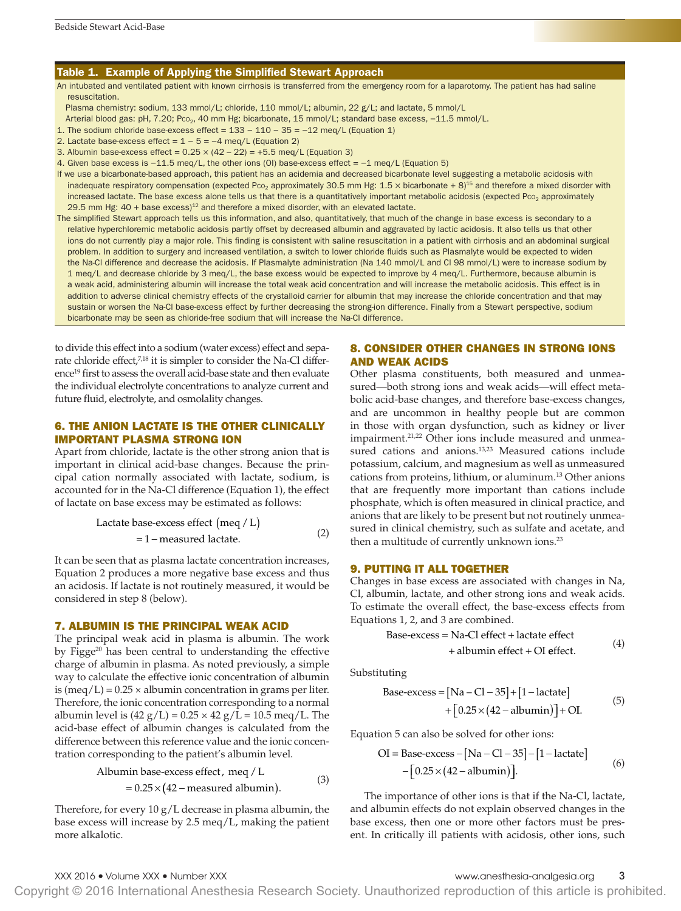#### Table 1. Example of Applying the Simplified Stewart Approach

An intubated and ventilated patient with known cirrhosis is transferred from the emergency room for a laparotomy. The patient has had saline resuscitation.

Plasma chemistry: sodium, 133 mmol/L; chloride, 110 mmol/L; albumin, 22 g/L; and lactate, 5 mmol/L

Arterial blood gas: pH, 7.20; Pco<sub>2</sub>, 40 mm Hg; bicarbonate, 15 mmol/L; standard base excess, -11.5 mmol/L.

1. The sodium chloride base-excess effect = 133 − 110 − 35 = −12 meq/L (Equation 1)

- 2. Lactate base-excess effect =  $1 5 = -4$  meq/L (Equation 2)
- 3. Albumin base-excess effect =  $0.25 \times (42 22) = +5.5$  meg/L (Equation 3)
- 4. Given base excess is −11.5 meq/L, the other ions (OI) base-excess effect = −1 meq/L (Equation 5)

If we use a bicarbonate-based approach, this patient has an acidemia and decreased bicarbonate level suggesting a metabolic acidosis with inadequate respiratory compensation (expected Pco<sub>2</sub> approximately 30.5 mm Hg: 1.5 x bicarbonate + 8)<sup>15</sup> and therefore a mixed disorder with increased lactate. The base excess alone tells us that there is a quantitatively important metabolic acidosis (expected Pco<sub>2</sub> approximately 29.5 mm Hg:  $40 + \text{base excess}$ <sup>12</sup> and therefore a mixed disorder, with an elevated lactate.

The simplified Stewart approach tells us this information, and also, quantitatively, that much of the change in base excess is secondary to a relative hyperchloremic metabolic acidosis partly offset by decreased albumin and aggravated by lactic acidosis. It also tells us that other ions do not currently play a major role. This finding is consistent with saline resuscitation in a patient with cirrhosis and an abdominal surgical problem. In addition to surgery and increased ventilation, a switch to lower chloride fluids such as Plasmalyte would be expected to widen the Na-Cl difference and decrease the acidosis. If Plasmalyte administration (Na 140 mmol/L and Cl 98 mmol/L) were to increase sodium by 1 meq/L and decrease chloride by 3 meq/L, the base excess would be expected to improve by 4 meq/L. Furthermore, because albumin is a weak acid, administering albumin will increase the total weak acid concentration and will increase the metabolic acidosis. This effect is in addition to adverse clinical chemistry effects of the crystalloid carrier for albumin that may increase the chloride concentration and that may sustain or worsen the Na-Cl base-excess effect by further decreasing the strong-ion difference. Finally from a Stewart perspective, sodium bicarbonate may be seen as chloride-free sodium that will increase the Na-Cl difference.

to divide this effect into a sodium (water excess) effect and separate chloride effect,<sup>7,18</sup> it is simpler to consider the Na-Cl difference<sup>19</sup> first to assess the overall acid-base state and then evaluate the individual electrolyte concentrations to analyze current and future fluid, electrolyte, and osmolality changes.

## 6. THE ANION LACTATE IS THE OTHER CLINICALLY IMPORTANT PLASMA STRONG ION

Apart from chloride, lactate is the other strong anion that is important in clinical acid-base changes. Because the principal cation normally associated with lactate, sodium, is accounted for in the Na-Cl difference (Equation 1), the effect of lactate on base excess may be estimated as follows:

Lactate base-excess effect 
$$
(\text{meq}/L)
$$
  
= 1 – measured lactate. (2)

It can be seen that as plasma lactate concentration increases, Equation 2 produces a more negative base excess and thus an acidosis. If lactate is not routinely measured, it would be considered in step 8 (below).

#### 7. ALBUMIN IS THE PRINCIPAL WEAK ACID

The principal weak acid in plasma is albumin. The work by Figge<sup>20</sup> has been central to understanding the effective charge of albumin in plasma. As noted previously, a simple way to calculate the effective ionic concentration of albumin is (meq/L) =  $0.25 \times$  albumin concentration in grams per liter. Therefore, the ionic concentration corresponding to a normal albumin level is  $(42 g/L) = 0.25 \times 42 g/L = 10.5 \text{~meq}/L$ . The acid-base effect of albumin changes is calculated from the difference between this reference value and the ionic concentration corresponding to the patient's albumin level.

Albumin base-excess effect, 
$$
\text{meq}/\text{L}
$$

\n=  $0.25 \times (42 - \text{measured albumin})$ .

\n(3)

Therefore, for every  $10 g/L$  decrease in plasma albumin, the base excess will increase by 2.5 meq/L, making the patient more alkalotic.

# 8. CONSIDER OTHER CHANGES IN STRONG IONS AND WEAK ACIDS

Other plasma constituents, both measured and unmeasured—both strong ions and weak acids—will effect metabolic acid-base changes, and therefore base-excess changes, and are uncommon in healthy people but are common in those with organ dysfunction, such as kidney or liver impairment.<sup>21,22</sup> Other ions include measured and unmeasured cations and anions.<sup>13,23</sup> Measured cations include potassium, calcium, and magnesium as well as unmeasured cations from proteins, lithium, or aluminum.13 Other anions that are frequently more important than cations include phosphate, which is often measured in clinical practice, and anions that are likely to be present but not routinely unmeasured in clinical chemistry, such as sulfate and acetate, and then a multitude of currently unknown ions.<sup>23</sup>

#### 9. PUTTING IT ALL TOGETHER

Changes in base excess are associated with changes in Na, Cl, albumin, lactate, and other strong ions and weak acids. To estimate the overall effect, the base-excess effects from Equations 1, 2, and 3 are combined.

Base-excess = Na-Cl effect + lactate effect  
+ albumin effect + Ol effect. 
$$
(4)
$$

Substituting

Base-excess = 
$$
[Na - Cl - 35] + [1 - lactate]
$$
  
+  $[0.25 \times (42 - albumin)] + Ol.$  (5)

Equation 5 can also be solved for other ions:

$$
OI = Base-excess - [Na - Cl - 35] - [1 - lactate]
$$

$$
- [0.25 \times (42 - albumin)].
$$

$$
(6)
$$

The importance of other ions is that if the Na-Cl, lactate, and albumin effects do not explain observed changes in the base excess, then one or more other factors must be present. In critically ill patients with acidosis, other ions, such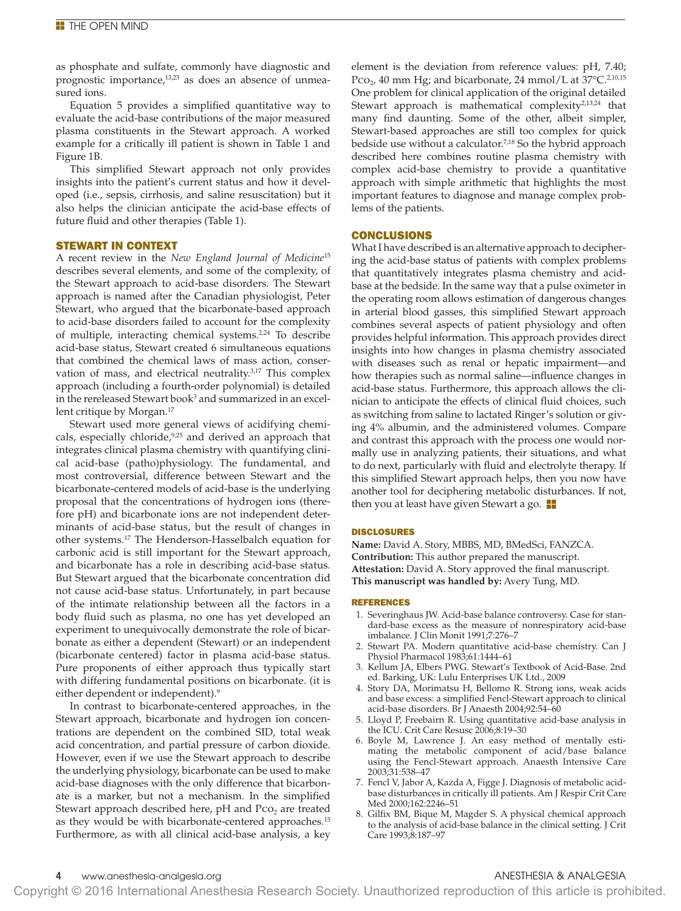as phosphate and sulfate, commonly have diagnostic and prognostic importance,<sup>13,23</sup> as does an absence of unmeasured ions.

Equation 5 provides a simplified quantitative way to evaluate the acid-base contributions of the major measured plasma constituents in the Stewart approach. A worked example for a critically ill patient is shown in Table 1 and Figure 1B.

This simplified Stewart approach not only provides insights into the patient's current status and how it developed (i.e., sepsis, cirrhosis, and saline resuscitation) but it also helps the clinician anticipate the acid-base effects of future fluid and other therapies (Table 1).

#### STEWART IN CONTEXT

A recent review in the *New England Journal of Medicine*<sup>15</sup> describes several elements, and some of the complexity, of the Stewart approach to acid-base disorders. The Stewart approach is named after the Canadian physiologist, Peter Stewart, who argued that the bicarbonate-based approach to acid-base disorders failed to account for the complexity of multiple, interacting chemical systems.<sup>2,24</sup> To describe acid-base status, Stewart created 6 simultaneous equations that combined the chemical laws of mass action, conservation of mass, and electrical neutrality.<sup>3,17</sup> This complex approach (including a fourth-order polynomial) is detailed in the rereleased Stewart book<sup>3</sup> and summarized in an excellent critique by Morgan.<sup>17</sup>

Stewart used more general views of acidifying chemicals, especially chloride,<sup>9,25</sup> and derived an approach that integrates clinical plasma chemistry with quantifying clinical acid-base (patho)physiology. The fundamental, and most controversial, difference between Stewart and the bicarbonate-centered models of acid-base is the underlying proposal that the concentrations of hydrogen ions (therefore pH) and bicarbonate ions are not independent determinants of acid-base status, but the result of changes in other systems.17 The Henderson-Hasselbalch equation for carbonic acid is still important for the Stewart approach, and bicarbonate has a role in describing acid-base status. But Stewart argued that the bicarbonate concentration did not cause acid-base status. Unfortunately, in part because of the intimate relationship between all the factors in a body fluid such as plasma, no one has yet developed an experiment to unequivocally demonstrate the role of bicarbonate as either a dependent (Stewart) or an independent (bicarbonate centered) factor in plasma acid-base status. Pure proponents of either approach thus typically start with differing fundamental positions on bicarbonate. (it is either dependent or independent).<sup>9</sup>

In contrast to bicarbonate-centered approaches, in the Stewart approach, bicarbonate and hydrogen ion concentrations are dependent on the combined SID, total weak acid concentration, and partial pressure of carbon dioxide. However, even if we use the Stewart approach to describe the underlying physiology, bicarbonate can be used to make acid-base diagnoses with the only difference that bicarbonate is a marker, but not a mechanism. In the simplified Stewart approach described here,  $pH$  and  $PCO<sub>2</sub>$  are treated as they would be with bicarbonate-centered approaches.<sup>15</sup> Furthermore, as with all clinical acid-base analysis, a key

element is the deviation from reference values: pH, 7.40; Pco<sub>2</sub>, 40 mm Hg; and bicarbonate, 24 mmol/L at  $37^{\circ}$ C.<sup>2,10,15</sup> One problem for clinical application of the original detailed Stewart approach is mathematical complexity<sup>2,13,24</sup> that many find daunting. Some of the other, albeit simpler, Stewart-based approaches are still too complex for quick bedside use without a calculator.<sup>7,18</sup> So the hybrid approach described here combines routine plasma chemistry with complex acid-base chemistry to provide a quantitative approach with simple arithmetic that highlights the most important features to diagnose and manage complex problems of the patients.

## **CONCLUSIONS**

What I have described is an alternative approach to deciphering the acid-base status of patients with complex problems that quantitatively integrates plasma chemistry and acidbase at the bedside. In the same way that a pulse oximeter in the operating room allows estimation of dangerous changes in arterial blood gasses, this simplified Stewart approach combines several aspects of patient physiology and often provides helpful information. This approach provides direct insights into how changes in plasma chemistry associated with diseases such as renal or hepatic impairment—and how therapies such as normal saline—influence changes in acid-base status. Furthermore, this approach allows the clinician to anticipate the effects of clinical fluid choices, such as switching from saline to lactated Ringer's solution or giving 4% albumin, and the administered volumes. Compare and contrast this approach with the process one would normally use in analyzing patients, their situations, and what to do next, particularly with fluid and electrolyte therapy. If this simplified Stewart approach helps, then you now have another tool for deciphering metabolic disturbances. If not, then you at least have given Stewart a go.  $\blacksquare$ 

#### DISCLOSURES

**Name:** David A. Story, MBBS, MD, BMedSci, FANZCA. **Contribution:** This author prepared the manuscript. **Attestation:** David A. Story approved the final manuscript. **This manuscript was handled by:** Avery Tung, MD.

#### REFERENCES

- 1. Severinghaus JW. Acid-base balance controversy. Case for standard-base excess as the measure of nonrespiratory acid-base imbalance. J Clin Monit 1991;7:276–7
- 2. Stewart PA. Modern quantitative acid-base chemistry. Can J Physiol Pharmacol 1983;61:1444–61
- 3. Kellum JA, Elbers PWG. Stewart's Textbook of Acid-Base. 2nd ed. Barking, UK: Lulu Enterprises UK Ltd., 2009
- 4. Story DA, Morimatsu H, Bellomo R. Strong ions, weak acids and base excess: a simplified Fencl-Stewart approach to clinical acid-base disorders. Br J Anaesth 2004;92:54–60
- 5. Lloyd P, Freebairn R. Using quantitative acid-base analysis in the ICU. Crit Care Resusc 2006;8:19–30
- 6. Boyle M, Lawrence J. An easy method of mentally estimating the metabolic component of acid/base balance using the Fencl-Stewart approach. Anaesth Intensive Care 2003;31:538–47
- 7. Fencl V, Jabor A, Kazda A, Figge J. Diagnosis of metabolic acidbase disturbances in critically ill patients. Am J Respir Crit Care Med 2000;162:2246–51
- 8. Gilfix BM, Bique M, Magder S. A physical chemical approach to the analysis of acid-base balance in the clinical setting. J Crit Care 1993;8:187–97

## www.anesthesia-analgesia.org and analysis and analysis and analysis and analysis and analysis and analysis and an

Copyright © 2016 International Anesthesia Research Society. Unauthorized reproduction of this article is prohibited.